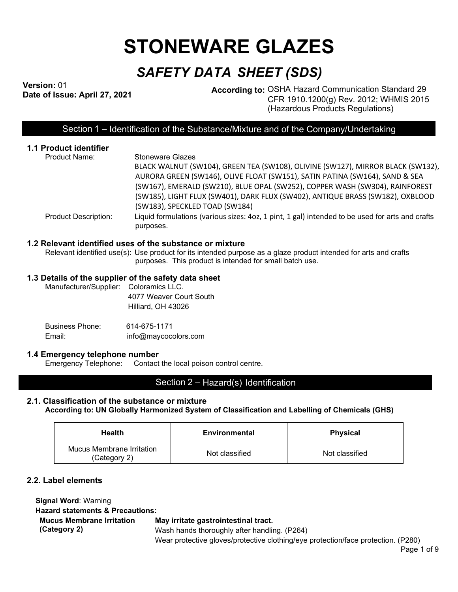# **STONEWARE GLAZES**

## *SAFETY DATA SHEET (SDS)*

Version: 01<br>Date of Issue: April 27, 2021

**According to: OSHA Hazard Communication Standard 29** CFR 1910.1200(g) Rev. 2012; WHMIS 2015 (Hazardous Products Regulations)

### Section 1 – Identification of the Substance/Mixture and of the Company/Undertaking

| <b>1.1 Product identifier</b> |                                                                                                              |
|-------------------------------|--------------------------------------------------------------------------------------------------------------|
| <b>Product Name:</b>          | <b>Stoneware Glazes</b>                                                                                      |
|                               | BLACK WALNUT (SW104), GREEN TEA (SW108), OLIVINE (SW127), MIRROR BLACK (SW132),                              |
|                               | AURORA GREEN (SW146), OLIVE FLOAT (SW151), SATIN PATINA (SW164), SAND & SEA                                  |
|                               | (SW167), EMERALD (SW210), BLUE OPAL (SW252), COPPER WASH (SW304), RAINFOREST                                 |
|                               | (SW185), LIGHT FLUX (SW401), DARK FLUX (SW402), ANTIQUE BRASS (SW182), OXBLOOD                               |
|                               | (SW183), SPECKLED TOAD (SW184)                                                                               |
| <b>Product Description:</b>   | Liquid formulations (various sizes: 4oz, 1 pint, 1 gal) intended to be used for arts and crafts<br>purposes. |
|                               |                                                                                                              |

#### **1.2 Relevant identified uses of the substance or mixture**

Relevant identified use(s): Use product for its intended purpose as a glaze product intended for arts and crafts purposes. This product is intended for small batch use.

#### **1.3 Details of the supplier of the safety data sheet**

| Manufacturer/Supplier: Coloramics LLC. |                         |
|----------------------------------------|-------------------------|
|                                        | 4077 Weaver Court South |
|                                        | Hilliard, OH 43026      |
|                                        |                         |

Business Phone: 614-675-1171 Email: info@maycocolors.com

#### **1.4 Emergency telephone number**

Emergency Telephone: Contact the local poison control centre.

#### Section 2 – Hazard(s) Identification

#### **2.1. Classification of the substance or mixture According to: UN Globally Harmonized System of Classification and Labelling of Chemicals (GHS)**

| <b>Health</b>                             | Environmental  | <b>Physical</b> |  |
|-------------------------------------------|----------------|-----------------|--|
| Mucus Membrane Irritation<br>(Category 2) | Not classified | Not classified  |  |

#### **2.2. Label elements**

| <b>Signal Word: Warning</b>                 |                                                                                   |
|---------------------------------------------|-----------------------------------------------------------------------------------|
| <b>Hazard statements &amp; Precautions:</b> |                                                                                   |
| <b>Mucus Membrane Irritation</b>            | May irritate gastrointestinal tract.                                              |
| (Category 2)                                | Wash hands thoroughly after handling. (P264)                                      |
|                                             | Wear protective gloves/protective clothing/eye protection/face protection. (P280) |

Page 1 of 9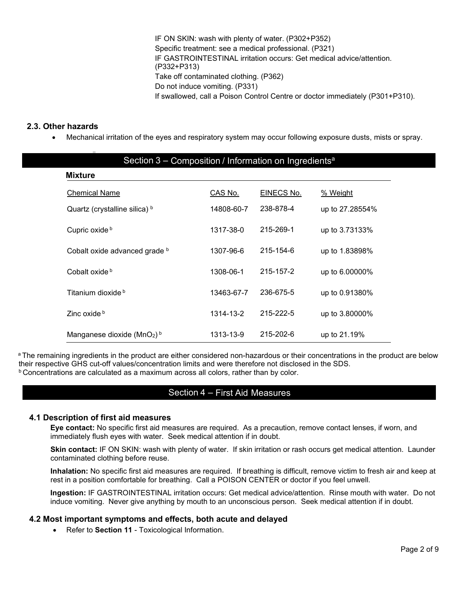IF ON SKIN: wash with plenty of water. (P302+P352) Specific treatment: see a medical professional. (P321) IF GASTROINTESTINAL irritation occurs: Get medical advice/attention. (P332+P313) Take off contaminated clothing. (P362) Do not induce vomiting. (P331) If swallowed, call a Poison Control Centre or doctor immediately (P301+P310).

#### **2.3. Other hazards**

• Mechanical irritation of the eyes and respiratory system may occur following exposure dusts, mists or spray.

| Section 3 – Composition / Information on Ingredients <sup>a</sup> |            |                   |                 |  |
|-------------------------------------------------------------------|------------|-------------------|-----------------|--|
| <b>Mixture</b>                                                    |            |                   |                 |  |
| <b>Chemical Name</b>                                              | CAS No.    | <b>EINECS No.</b> | % Weight        |  |
| Quartz (crystalline silica) b                                     | 14808-60-7 | 238-878-4         | up to 27.28554% |  |
| Cupric oxide b                                                    | 1317-38-0  | 215-269-1         | up to 3.73133%  |  |
| Cobalt oxide advanced grade b                                     | 1307-96-6  | 215-154-6         | up to 1.83898%  |  |
| Cobalt oxide b                                                    | 1308-06-1  | 215-157-2         | up to 6.00000%  |  |
| Titanium dioxide b                                                | 13463-67-7 | 236-675-5         | up to 0.91380%  |  |
| Zinc oxide b                                                      | 1314-13-2  | 215-222-5         | up to 3.80000%  |  |
| Manganese dioxide ( $MnO2$ ) <sup>b</sup>                         | 1313-13-9  | 215-202-6         | up to 21.19%    |  |

<sup>a</sup> The remaining ingredients in the product are either considered non-hazardous or their concentrations in the product are below their respective GHS cut-off values/concentration limits and were therefore not disclosed in the SDS.  $b$  Concentrations are calculated as a maximum across all colors, rather than by color.

#### Section 4 – First Aid Measures

#### **4.1 Description of first aid measures**

**Eye contact:** No specific first aid measures are required. As a precaution, remove contact lenses, if worn, and immediately flush eyes with water. Seek medical attention if in doubt.

**Skin contact:** IF ON SKIN: wash with plenty of water. If skin irritation or rash occurs get medical attention. Launder contaminated clothing before reuse.

**Inhalation:** No specific first aid measures are required. If breathing is difficult, remove victim to fresh air and keep at rest in a position comfortable for breathing. Call a POISON CENTER or doctor if you feel unwell.

**Ingestion:** IF GASTROINTESTINAL irritation occurs: Get medical advice/attention. Rinse mouth with water. Do not induce vomiting. Never give anything by mouth to an unconscious person. Seek medical attention if in doubt.

#### **4.2 Most important symptoms and effects, both acute and delayed**

• Refer to **Section 11** - Toxicological Information.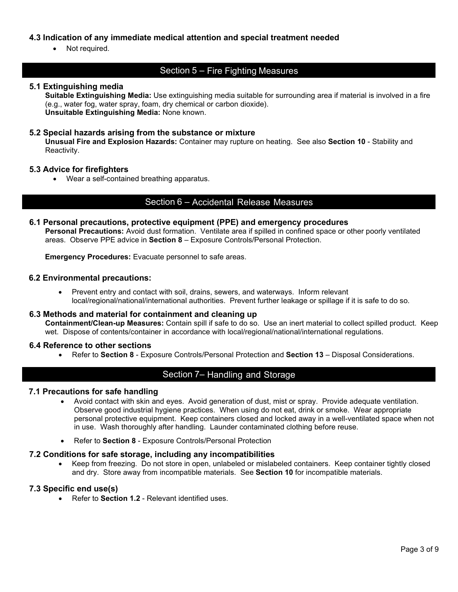#### **4.3 Indication of any immediate medical attention and special treatment needed**

• Not required.

#### Section 5 – Fire Fighting Measures

#### **5.1 Extinguishing media**

**Suitable Extinguishing Media:** Use extinguishing media suitable for surrounding area if material is involved in a fire (e.g., water fog, water spray, foam, dry chemical or carbon dioxide). **Unsuitable Extinguishing Media:** None known.

#### **5.2 Special hazards arising from the substance or mixture**

**Unusual Fire and Explosion Hazards:** Container may rupture on heating. See also **Section 10** - Stability and Reactivity.

#### **5.3 Advice for firefighters**

• Wear a self-contained breathing apparatus.

#### Section 6 – Accidental Release Measures

#### **6.1 Personal precautions, protective equipment (PPE) and emergency procedures Personal Precautions:** Avoid dust formation. Ventilate area if spilled in confined space or other poorly ventilated areas. Observe PPE advice in **Section 8** – Exposure Controls/Personal Protection.

**Emergency Procedures:** Evacuate personnel to safe areas.

#### **6.2 Environmental precautions:**

• Prevent entry and contact with soil, drains, sewers, and waterways. Inform relevant local/regional/national/international authorities. Prevent further leakage or spillage if it is safe to do so.

#### **6.3 Methods and material for containment and cleaning up**

**Containment/Clean-up Measures:** Contain spill if safe to do so. Use an inert material to collect spilled product. Keep wet. Dispose of contents/container in accordance with local/regional/national/international regulations.

#### **6.4 Reference to other sections**

• Refer to **Section 8** - Exposure Controls/Personal Protection and **Section 13** – Disposal Considerations.

#### Section 7– Handling and Storage

#### **7.1 Precautions for safe handling**

- Avoid contact with skin and eyes. Avoid generation of dust, mist or spray. Provide adequate ventilation. Observe good industrial hygiene practices. When using do not eat, drink or smoke. Wear appropriate personal protective equipment. Keep containers closed and locked away in a well-ventilated space when not in use. Wash thoroughly after handling. Launder contaminated clothing before reuse.
- Refer to **Section 8** Exposure Controls/Personal Protection

#### **7.2 Conditions for safe storage, including any incompatibilities**

• Keep from freezing. Do not store in open, unlabeled or mislabeled containers. Keep container tightly closed and dry. Store away from incompatible materials. See **Section 10** for incompatible materials.

#### **7.3 Specific end use(s)**

• Refer to **Section 1.2** - Relevant identified uses.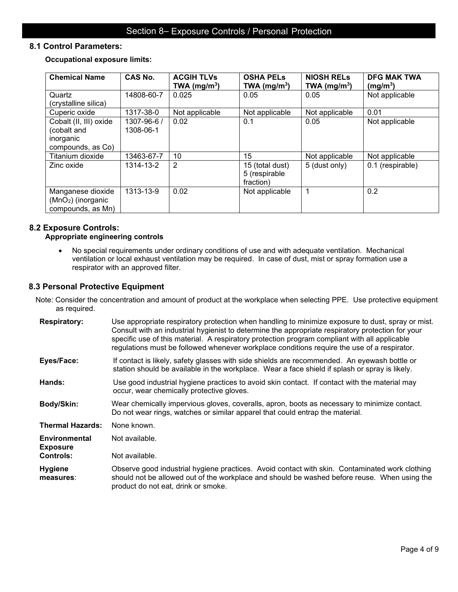#### **8.1 Control Parameters:**

**Occupational exposure limits:** 

| <b>Chemical Name</b>                                                    | <b>CAS No.</b>           | <b>ACGIH TLVs</b><br>TWA ( $mg/m3$ ) | <b>OSHA PELS</b><br>TWA (mg/m <sup>3</sup> )  | <b>NIOSH RELS</b><br>TWA (mg/m <sup>3</sup> ) | <b>DFG MAK TWA</b><br>(mg/m <sup>3</sup> ) |
|-------------------------------------------------------------------------|--------------------------|--------------------------------------|-----------------------------------------------|-----------------------------------------------|--------------------------------------------|
| Quartz<br>(crystalline silica)                                          | 14808-60-7               | 0.025                                | 0.05                                          | 0.05                                          | Not applicable                             |
| Cuperic oxide                                                           | 1317-38-0                | Not applicable                       | Not applicable                                | Not applicable                                | 0.01                                       |
| Cobalt (II, III) oxide<br>(cobalt and<br>inorganic<br>compounds, as Co) | 1307-96-6 /<br>1308-06-1 | 0.02                                 | 0.1                                           | 0.05                                          | Not applicable                             |
| Titanium dioxide                                                        | 13463-67-7               | 10                                   | 15                                            | Not applicable                                | Not applicable                             |
| Zinc oxide                                                              | 1314-13-2                | $\overline{2}$                       | 15 (total dust)<br>5 (respirable<br>fraction) | 5 (dust only)                                 | 0.1 (respirable)                           |
| Manganese dioxide<br>$(MnO2)$ (inorganic<br>compounds, as Mn)           | 1313-13-9                | 0.02                                 | Not applicable                                |                                               | 0.2                                        |

#### **8.2 Exposure Controls: Appropriate engineering controls**

• No special requirements under ordinary conditions of use and with adequate ventilation. Mechanical ventilation or local exhaust ventilation may be required. In case of dust, mist or spray formation use a respirator with an approved filter.

#### **8.3 Personal Protective Equipment**

Note: Consider the concentration and amount of product at the workplace when selecting PPE. Use protective equipment as required.

| <b>Respiratory:</b>              | Use appropriate respiratory protection when handling to minimize exposure to dust, spray or mist.<br>Consult with an industrial hygienist to determine the appropriate respiratory protection for your<br>specific use of this material. A respiratory protection program compliant with all applicable<br>regulations must be followed whenever workplace conditions require the use of a respirator. |
|----------------------------------|--------------------------------------------------------------------------------------------------------------------------------------------------------------------------------------------------------------------------------------------------------------------------------------------------------------------------------------------------------------------------------------------------------|
| Eyes/Face:                       | If contact is likely, safety glasses with side shields are recommended. An eyewash bottle or<br>station should be available in the workplace. Wear a face shield if splash or spray is likely.                                                                                                                                                                                                         |
| Hands:                           | Use good industrial hygiene practices to avoid skin contact. If contact with the material may<br>occur, wear chemically protective gloves.                                                                                                                                                                                                                                                             |
| Body/Skin:                       | Wear chemically impervious gloves, coveralls, apron, boots as necessary to minimize contact.<br>Do not wear rings, watches or similar apparel that could entrap the material.                                                                                                                                                                                                                          |
| <b>Thermal Hazards:</b>          | None known.                                                                                                                                                                                                                                                                                                                                                                                            |
| Environmental<br><b>Exposure</b> | Not available.                                                                                                                                                                                                                                                                                                                                                                                         |
| <b>Controls:</b>                 | Not available.                                                                                                                                                                                                                                                                                                                                                                                         |
| <b>Hygiene</b><br>measures:      | Observe good industrial hygiene practices. Avoid contact with skin. Contaminated work clothing<br>should not be allowed out of the workplace and should be washed before reuse. When using the<br>product do not eat, drink or smoke.                                                                                                                                                                  |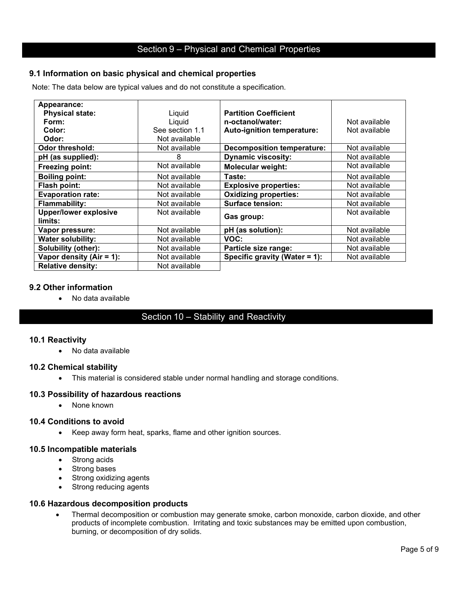#### **9.1 Information on basic physical and chemical properties**

Note: The data below are typical values and do not constitute a specification.

| Appearance:                             |                 |                                   |               |
|-----------------------------------------|-----------------|-----------------------------------|---------------|
| <b>Physical state:</b>                  | Liquid          | <b>Partition Coefficient</b>      |               |
| Form:                                   | Liquid          | n-octanol/water:                  | Not available |
| Color:                                  | See section 1.1 | Auto-ignition temperature:        | Not available |
| Odor:                                   | Not available   |                                   |               |
| Odor threshold:                         | Not available   | <b>Decomposition temperature:</b> | Not available |
| pH (as supplied):                       | 8               | <b>Dynamic viscosity:</b>         | Not available |
| Freezing point:                         | Not available   | <b>Molecular weight:</b>          | Not available |
| <b>Boiling point:</b>                   | Not available   | Taste:                            | Not available |
| Flash point:                            | Not available   | <b>Explosive properties:</b>      | Not available |
| <b>Evaporation rate:</b>                | Not available   | <b>Oxidizing properties:</b>      | Not available |
| <b>Flammability:</b>                    | Not available   | <b>Surface tension:</b>           | Not available |
| <b>Upper/lower explosive</b><br>limits: | Not available   | Gas group:                        | Not available |
| Vapor pressure:                         | Not available   | pH (as solution):                 | Not available |
| <b>Water solubility:</b>                | Not available   | VOC:                              | Not available |
| Solubility (other):                     | Not available   | Particle size range:              | Not available |
| Vapor density $(Air = 1)$ :             | Not available   | Specific gravity (Water = 1):     | Not available |
| <b>Relative density:</b>                | Not available   |                                   |               |

#### **9.2 Other information**

• No data available

### Section 10 – Stability and Reactivity

#### **10.1 Reactivity**

• No data available

#### **10.2 Chemical stability**

• This material is considered stable under normal handling and storage conditions.

#### **10.3 Possibility of hazardous reactions**

• None known

#### **10.4 Conditions to avoid**

• Keep away form heat, sparks, flame and other ignition sources.

#### **10.5 Incompatible materials**

- Strong acids
- Strong bases
- Strong oxidizing agents
- Strong reducing agents

#### **10.6 Hazardous decomposition products**

• Thermal decomposition or combustion may generate smoke, carbon monoxide, carbon dioxide, and other products of incomplete combustion. Irritating and toxic substances may be emitted upon combustion, burning, or decomposition of dry solids.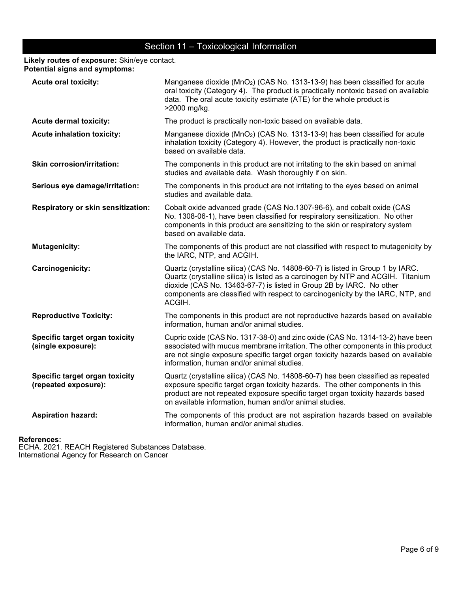### Section 11 – Toxicological Information

**Likely routes of exposure:** Skin/eye contact. **Potential signs and symptoms:** 

| <b>Acute oral toxicity:</b>                            | Manganese dioxide (MnO <sub>2</sub> ) (CAS No. 1313-13-9) has been classified for acute<br>oral toxicity (Category 4). The product is practically nontoxic based on available<br>data. The oral acute toxicity estimate (ATE) for the whole product is<br>>2000 mg/kg.                                                                  |
|--------------------------------------------------------|-----------------------------------------------------------------------------------------------------------------------------------------------------------------------------------------------------------------------------------------------------------------------------------------------------------------------------------------|
| <b>Acute dermal toxicity:</b>                          | The product is practically non-toxic based on available data.                                                                                                                                                                                                                                                                           |
| <b>Acute inhalation toxicity:</b>                      | Manganese dioxide (MnO <sub>2</sub> ) (CAS No. 1313-13-9) has been classified for acute<br>inhalation toxicity (Category 4). However, the product is practically non-toxic<br>based on available data.                                                                                                                                  |
| <b>Skin corrosion/irritation:</b>                      | The components in this product are not irritating to the skin based on animal<br>studies and available data. Wash thoroughly if on skin.                                                                                                                                                                                                |
| Serious eye damage/irritation:                         | The components in this product are not irritating to the eyes based on animal<br>studies and available data.                                                                                                                                                                                                                            |
| Respiratory or skin sensitization:                     | Cobalt oxide advanced grade (CAS No.1307-96-6), and cobalt oxide (CAS<br>No. 1308-06-1), have been classified for respiratory sensitization. No other<br>components in this product are sensitizing to the skin or respiratory system<br>based on available data.                                                                       |
| <b>Mutagenicity:</b>                                   | The components of this product are not classified with respect to mutagenicity by<br>the IARC, NTP, and ACGIH.                                                                                                                                                                                                                          |
| Carcinogenicity:                                       | Quartz (crystalline silica) (CAS No. 14808-60-7) is listed in Group 1 by IARC.<br>Quartz (crystalline silica) is listed as a carcinogen by NTP and ACGIH. Titanium<br>dioxide (CAS No. 13463-67-7) is listed in Group 2B by IARC. No other<br>components are classified with respect to carcinogenicity by the IARC, NTP, and<br>ACGIH. |
| <b>Reproductive Toxicity:</b>                          | The components in this product are not reproductive hazards based on available<br>information, human and/or animal studies.                                                                                                                                                                                                             |
| Specific target organ toxicity<br>(single exposure):   | Cupric oxide (CAS No. 1317-38-0) and zinc oxide (CAS No. 1314-13-2) have been<br>associated with mucus membrane irritation. The other components in this product<br>are not single exposure specific target organ toxicity hazards based on available<br>information, human and/or animal studies.                                      |
| Specific target organ toxicity<br>(repeated exposure): | Quartz (crystalline silica) (CAS No. 14808-60-7) has been classified as repeated<br>exposure specific target organ toxicity hazards. The other components in this<br>product are not repeated exposure specific target organ toxicity hazards based<br>on available information, human and/or animal studies.                           |
| <b>Aspiration hazard:</b>                              | The components of this product are not aspiration hazards based on available<br>information, human and/or animal studies.                                                                                                                                                                                                               |

#### **References:**

ECHA. 2021. REACH Registered Substances Database. International Agency for Research on Cancer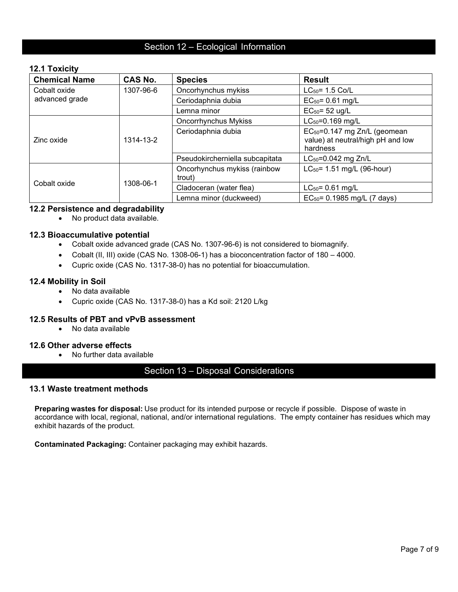#### Section 12 – Ecological Information

#### **12.1 Toxicity**

| <b>Chemical Name</b> | <b>CAS No.</b> | <b>Species</b>                         | <b>Result</b>                                                                             |
|----------------------|----------------|----------------------------------------|-------------------------------------------------------------------------------------------|
| Cobalt oxide         | 1307-96-6      | Oncorhynchus mykiss                    | $LC_{50} = 1.5 \text{ Co/L}$                                                              |
| advanced grade       |                | Ceriodaphnia dubia                     | $EC_{50} = 0.61$ mg/L                                                                     |
|                      |                | Lemna minor                            | $EC_{50} = 52$ ug/L                                                                       |
|                      |                | <b>Oncorrhynchus Mykiss</b>            | $LC_{50} = 0.169$ mg/L                                                                    |
| Zinc oxide           | 1314-13-2      | Ceriodaphnia dubia                     | EC <sub>50</sub> =0.147 mg Zn/L (geomean<br>value) at neutral/high pH and low<br>hardness |
|                      |                | Pseudokircherniella subcapitata        | LC <sub>50</sub> =0.042 mg Zn/L                                                           |
|                      |                | Oncorhynchus mykiss (rainbow<br>trout) | $LC_{50}$ = 1.51 mg/L (96-hour)                                                           |
| Cobalt oxide         | 1308-06-1      | Cladoceran (water flea)                | $LC_{50} = 0.61$ mg/L                                                                     |
|                      |                | Lemna minor (duckweed)                 | EC <sub>50</sub> = 0.1985 mg/L (7 days)                                                   |

#### **12.2 Persistence and degradability**

• No product data available.

#### **12.3 Bioaccumulative potential**

- Cobalt oxide advanced grade (CAS No. 1307-96-6) is not considered to biomagnify.
- Cobalt (II, III) oxide (CAS No. 1308-06-1) has a bioconcentration factor of 180 4000.
- Cupric oxide (CAS No. 1317-38-0) has no potential for bioaccumulation.

#### **12.4 Mobility in Soil**

- No data available
- Cupric oxide (CAS No. 1317-38-0) has a Kd soil: 2120 L/kg

#### **12.5 Results of PBT and vPvB assessment**

• No data available

#### **12.6 Other adverse effects**

• No further data available

#### Section 13 – Disposal Considerations

#### **13.1 Waste treatment methods**

**Preparing wastes for disposal:** Use product for its intended purpose or recycle if possible. Dispose of waste in accordance with local, regional, national, and/or international regulations. The empty container has residues which may exhibit hazards of the product.

**Contaminated Packaging:** Container packaging may exhibit hazards.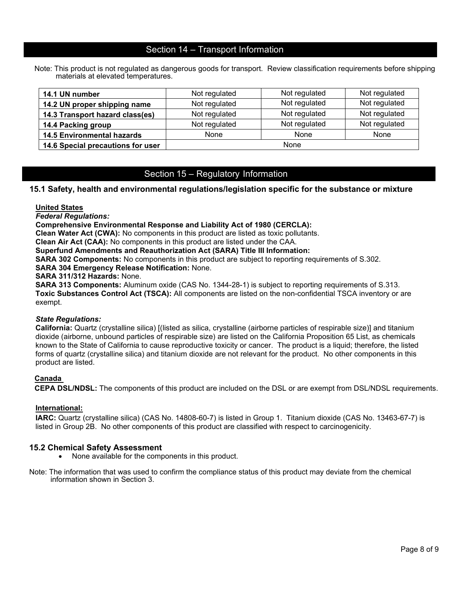#### Section 14 – Transport Information

Note: This product is not regulated as dangerous goods for transport. Review classification requirements before shipping materials at elevated temperatures.

| 14.1 UN number                    | Not regulated        | Not regulated | Not regulated |
|-----------------------------------|----------------------|---------------|---------------|
| 14.2 UN proper shipping name      | Not regulated        | Not regulated | Not regulated |
| 14.3 Transport hazard class(es)   | Not regulated        | Not regulated | Not regulated |
| 14.4 Packing group                | Not regulated        | Not regulated | Not regulated |
| <b>14.5 Environmental hazards</b> | None<br>None<br>None |               |               |
| 14.6 Special precautions for user | None                 |               |               |

#### Section 15 – Regulatory Information

#### **15.1 Safety, health and environmental regulations/legislation specific for the substance or mixture**

#### **United States**

*Federal Regulations:*

**Comprehensive Environmental Response and Liability Act of 1980 (CERCLA):**

**Clean Water Act (CWA):** No components in this product are listed as toxic pollutants.

**Clean Air Act (CAA):** No components in this product are listed under the CAA.

**Superfund Amendments and Reauthorization Act (SARA) Title III Information:**

**SARA 302 Components:** No components in this product are subject to reporting requirements of S.302.

**SARA 304 Emergency Release Notification:** None.

**SARA 311/312 Hazards:** None.

**SARA 313 Components:** Aluminum oxide (CAS No. 1344-28-1) is subject to reporting requirements of S.313. **Toxic Substances Control Act (TSCA):** All components are listed on the non-confidential TSCA inventory or are exempt.

#### *State Regulations:*

**California:** Quartz (crystalline silica) [(listed as silica, crystalline (airborne particles of respirable size)] and titanium dioxide (airborne, unbound particles of respirable size) are listed on the California Proposition 65 List, as chemicals known to the State of California to cause reproductive toxicity or cancer. The product is a liquid; therefore, the listed forms of quartz (crystalline silica) and titanium dioxide are not relevant for the product. No other components in this product are listed.

#### **Canada**

**CEPA DSL/NDSL:** The components of this product are included on the DSL or are exempt from DSL/NDSL requirements.

#### **International:**

**IARC:** Quartz (crystalline silica) (CAS No. 14808-60-7) is listed in Group 1. Titanium dioxide (CAS No. 13463-67-7) is listed in Group 2B. No other components of this product are classified with respect to carcinogenicity.

- **15.2 Chemical Safety Assessment**<br>• None available for the components in this product.
- Note: The information that was used to confirm the compliance status of this product may deviate from the chemical information shown in Section 3.